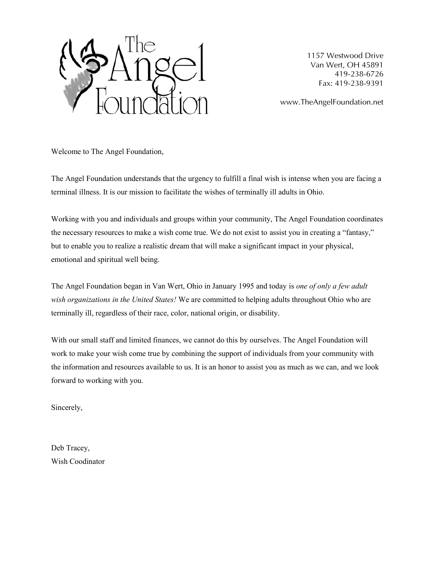

1157 Westwood Drive Van Wert, OH 45891 419-238-6726 Fax: 419-238-9391

www.TheAngelFoundation.net

Welcome to The Angel Foundation,

The Angel Foundation understands that the urgency to fulfill a final wish is intense when you are facing a terminal illness. It is our mission to facilitate the wishes of terminally ill adults in Ohio.

Working with you and individuals and groups within your community, The Angel Foundation coordinates the necessary resources to make a wish come true. We do not exist to assist you in creating a "fantasy," but to enable you to realize a realistic dream that will make a significant impact in your physical, emotional and spiritual well being.

The Angel Foundation began in Van Wert, Ohio in January 1995 and today is *one of only a few adult wish organizations in the United States!* We are committed to helping adults throughout Ohio who are terminally ill, regardless of their race, color, national origin, or disability.

With our small staff and limited finances, we cannot do this by ourselves. The Angel Foundation will work to make your wish come true by combining the support of individuals from your community with the information and resources available to us. It is an honor to assist you as much as we can, and we look forward to working with you.

Sincerely,

Deb Tracey, Wish Coodinator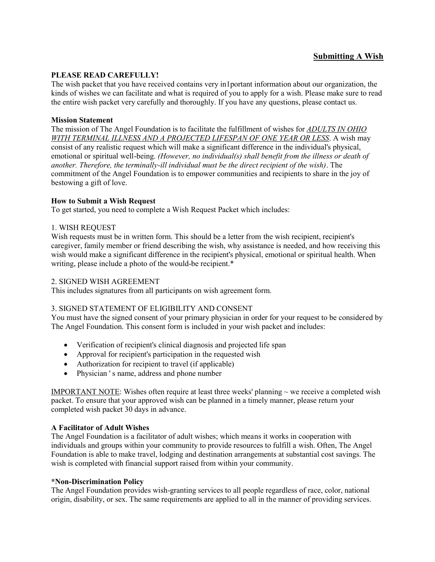### **Submitting A Wish**

#### **PLEASE READ CAREFULLY!**

The wish packet that you have received contains very in1portant information about our organization, the kinds of wishes we can facilitate and what is required of you to apply for a wish. Please make sure to read the entire wish packet very carefully and thoroughly. If you have any questions, please contact us.

#### **Mission Statement**

The mission of The Angel Foundation is to facilitate the fulfillment of wishes for *ADULTS IN OHIO WITH TERMINAL ILLNESS AND A PROJECTED LIFESPAN OF ONE YEAR OR LESS*. A wish may consist of any realistic request which will make a significant difference in the individual's physical, emotional or spiritual well-being. *(However, no individual(s) shall benefit from the illness or death of another. Therefore, the terminally-ill individual must be the direct recipient of the wish)*. The commitment of the Angel Foundation is to empower communities and recipients to share in the joy of bestowing a gift of love.

#### **How to Submit a Wish Request**

To get started, you need to complete a Wish Request Packet which includes:

#### 1. WISH REQUEST

Wish requests must be in written form. This should be a letter from the wish recipient, recipient's caregiver, family member or friend describing the wish, why assistance is needed, and how receiving this wish would make a significant difference in the recipient's physical, emotional or spiritual health. When writing, please include a photo of the would-be recipient.\*

#### 2. SIGNED WISH AGREEMENT

This includes signatures from all participants on wish agreement form.

#### 3. SIGNED STATEMENT OF ELIGIBILITY AND CONSENT

You must have the signed consent of your primary physician in order for your request to be considered by The Angel Foundation. This consent form is included in your wish packet and includes:

- Verification of recipient's clinical diagnosis and projected life span
- Approval for recipient's participation in the requested wish
- Authorization for recipient to travel (if applicable)
- Physician 's name, address and phone number

IMPORTANT NOTE: Wishes often require at least three weeks' planning  $\sim$  we receive a completed wish packet. To ensure that your approved wish can be planned in a timely manner, please return your completed wish packet 30 days in advance.

#### **A Facilitator of Adult Wishes**

The Angel Foundation is a facilitator of adult wishes; which means it works in cooperation with individuals and groups within your community to provide resources to fulfill a wish. Often, The Angel Foundation is able to make travel, lodging and destination arrangements at substantial cost savings. The wish is completed with financial support raised from within your community.

#### **\*Non-Discrimination Policy**

The Angel Foundation provides wish-granting services to all people regardless of race, color, national origin, disability, or sex. The same requirements are applied to all in the manner of providing services.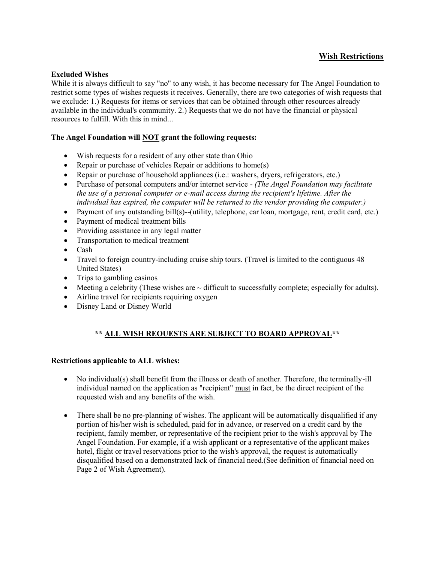# **Wish Restrictions**

#### **Excluded Wishes**

While it is always difficult to say "no" to any wish, it has become necessary for The Angel Foundation to restrict some types of wishes requests it receives. Generally, there are two categories of wish requests that we exclude: 1.) Requests for items or services that can be obtained through other resources already available in the individual's community. 2.) Requests that we do not have the financial or physical resources to fulfill. With this in mind...

#### **The Angel Foundation will NOT grant the following requests:**

- Wish requests for a resident of any other state than Ohio
- Repair or purchase of vehicles Repair or additions to home(s)
- Repair or purchase of household appliances (i.e.: washers, dryers, refrigerators, etc.)
- Purchase of personal computers and/or internet service *(The Angel Foundation may facilitate the use of a personal computer or e-mail access during the recipient's lifetime. After the individual has expired, the computer will be returned to the vendor providing the computer.)*
- Payment of any outstanding bill(s)--(utility, telephone, car loan, mortgage, rent, credit card, etc.)
- Payment of medical treatment bills
- Providing assistance in any legal matter
- Transportation to medical treatment
- Cash
- Travel to foreign country-including cruise ship tours. (Travel is limited to the contiguous 48 United States)
- $\bullet$  Trips to gambling casinos
- $\bullet$  Meeting a celebrity (These wishes are  $\sim$  difficult to successfully complete; especially for adults).
- Airline travel for recipients requiring oxygen
- Disney Land or Disney World

# **\*\* ALL WISH REOUESTS ARE SUBJECT TO BOARD APPROVAL\*\***

#### **Restrictions applicable to ALL wishes:**

- No individual(s) shall benefit from the illness or death of another. Therefore, the terminally-ill individual named on the application as "recipient" must in fact, be the direct recipient of the requested wish and any benefits of the wish.
- There shall be no pre-planning of wishes. The applicant will be automatically disqualified if any portion of his/her wish is scheduled, paid for in advance, or reserved on a credit card by the recipient, family member, or representative of the recipient prior to the wish's approval by The Angel Foundation. For example, if a wish applicant or a representative of the applicant makes hotel, flight or travel reservations prior to the wish's approval, the request is automatically disqualified based on a demonstrated lack of financial need.(See definition of financial need on Page 2 of Wish Agreement).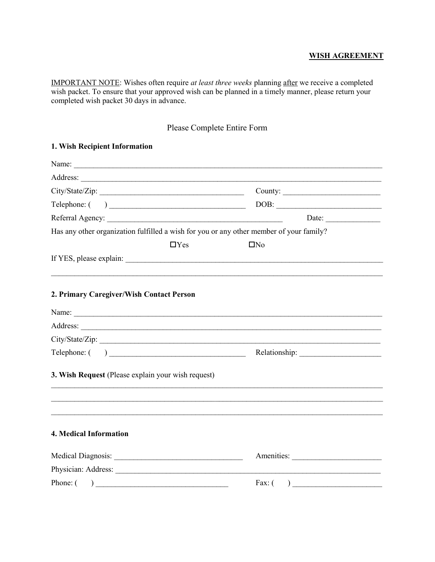### **WISH AGREEMENT**

IMPORTANT NOTE: Wishes often require *at least three weeks* planning after we receive a completed wish packet. To ensure that your approved wish can be planned in a timely manner, please return your completed wish packet 30 days in advance.

# Please Complete Entire Form

| Name:                                                 |            |                                                                                         |
|-------------------------------------------------------|------------|-----------------------------------------------------------------------------------------|
|                                                       |            | County:                                                                                 |
| $\text{Telephone:} ( ) \ \_$                          |            | $\boxed{\text{DOB}:}\n$                                                                 |
|                                                       |            | Date: $\qquad \qquad$                                                                   |
|                                                       |            | Has any other organization fulfilled a wish for you or any other member of your family? |
|                                                       | $\Box$ Yes | $\Box$ No                                                                               |
|                                                       |            |                                                                                         |
| 2. Primary Caregiver/Wish Contact Person              |            |                                                                                         |
| Name:                                                 |            |                                                                                         |
|                                                       |            |                                                                                         |
|                                                       |            | City/State/Zip:                                                                         |
|                                                       |            |                                                                                         |
| 3. Wish Request (Please explain your wish request)    |            |                                                                                         |
|                                                       |            |                                                                                         |
| 4. Medical Information                                |            |                                                                                         |
|                                                       |            | Amenities:                                                                              |
| Physician: Address:                                   |            |                                                                                         |
| Phone: $\begin{pmatrix} 1 & 1 \\ 1 & 1 \end{pmatrix}$ |            | Fax: $\begin{pmatrix} 1 & 1 \\ 1 & 1 \end{pmatrix}$                                     |

### **1. Wish Recipient Information**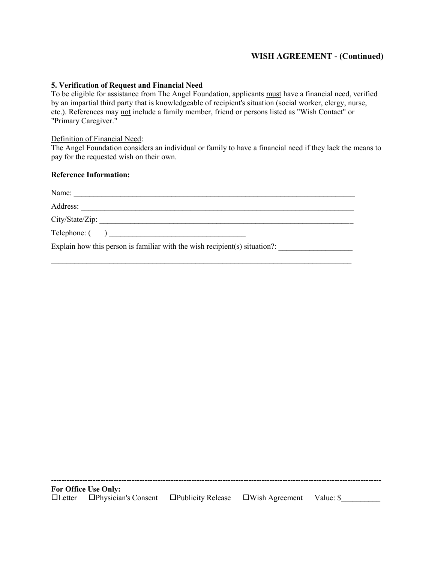# **WISH AGREEMENT - (Continued)**

#### **5. Verification of Request and Financial Need**

To be eligible for assistance from The Angel Foundation, applicants must have a financial need, verified by an impartial third party that is knowledgeable of recipient's situation (social worker, clergy, nurse, etc.). References may not include a family member, friend or persons listed as "Wish Contact" or "Primary Caregiver."

#### Definition of Financial Need:

The Angel Foundation considers an individual or family to have a financial need if they lack the means to pay for the requested wish on their own.

#### **Reference Information:**

| Name:                                                                                                                           |
|---------------------------------------------------------------------------------------------------------------------------------|
| Address:<br><u> 1980 - Jan Barbara, martin da basar da basar da basar da basar da basar da basar da basar da basar da basar</u> |
|                                                                                                                                 |
| $\text{Telephone:}$ ( )                                                                                                         |
| Explain how this person is familiar with the wish recipient(s) situation?:                                                      |

 $\mathcal{L}_\text{max} = \mathcal{L}_\text{max} = \mathcal{L}_\text{max} = \mathcal{L}_\text{max} = \mathcal{L}_\text{max} = \mathcal{L}_\text{max} = \mathcal{L}_\text{max} = \mathcal{L}_\text{max} = \mathcal{L}_\text{max} = \mathcal{L}_\text{max} = \mathcal{L}_\text{max} = \mathcal{L}_\text{max} = \mathcal{L}_\text{max} = \mathcal{L}_\text{max} = \mathcal{L}_\text{max} = \mathcal{L}_\text{max} = \mathcal{L}_\text{max} = \mathcal{L}_\text{max} = \mathcal{$ 

| <b>For Office Use Only:</b>                                                                       |  |  |
|---------------------------------------------------------------------------------------------------|--|--|
| $\Box$ Letter $\Box$ Physician's Consent $\Box$ Publicity Release $\Box$ Wish Agreement Value: \$ |  |  |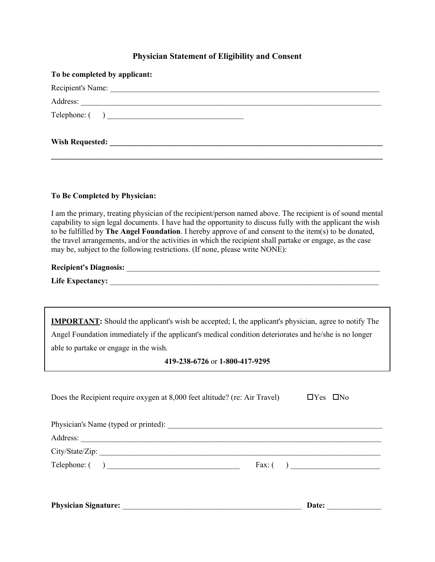### **Physician Statement of Eligibility and Consent**

| To be completed by applicant: |
|-------------------------------|
| Recipient's Name:             |
|                               |
|                               |
|                               |

**To Be Completed by Physician:**

I am the primary, treating physician of the recipient/person named above. The recipient is of sound mental capability to sign legal documents. I have had the opportunity to discuss fully with the applicant the wish to be fulfilled by **The Angel Foundation**. I hereby approve of and consent to the item(s) to be donated, the travel arrangements, and/or the activities in which the recipient shall partake or engage, as the case may be, subject to the following restrictions. (If none, please write NONE):

| <b>Recipient's Diagnosis:</b> |  |
|-------------------------------|--|
| <b>Life Expectancy:</b>       |  |

**IMPORTANT:** Should the applicant's wish be accepted; I, the applicant's physician, agree to notify The Angel Foundation immediately if the applicant's medical condition deteriorates and he/she is no longer able to partake or engage in the wish.

**419-238-6726** or **1-800-417-9295**

| Does the Recipient require oxygen at 8,000 feet altitude? (re: Air Travel) | $\Box$ Yes $\Box$ No |  |
|----------------------------------------------------------------------------|----------------------|--|
|                                                                            |                      |  |
|                                                                            |                      |  |
| City/State/Zip:                                                            |                      |  |
|                                                                            |                      |  |
|                                                                            |                      |  |
|                                                                            |                      |  |

**Physician Signature:** \_\_\_\_\_\_\_\_\_\_\_\_\_\_\_\_\_\_\_\_\_\_\_\_\_\_\_\_\_\_\_\_\_\_\_\_\_\_\_\_\_\_\_\_\_\_ **Date:** \_\_\_\_\_\_\_\_\_\_\_\_\_\_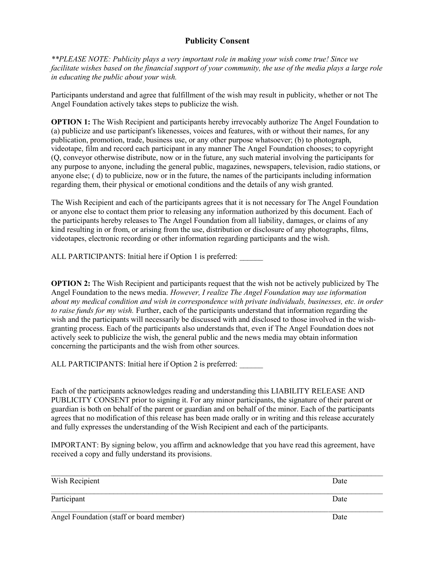# **Publicity Consent**

*\*\*PLEASE NOTE: Publicity plays a very important role in making your wish come true! Since we facilitate wishes based on the financial support of your community, the use of the media plays a large role in educating the public about your wish.*

Participants understand and agree that fulfillment of the wish may result in publicity, whether or not The Angel Foundation actively takes steps to publicize the wish.

**OPTION 1:** The Wish Recipient and participants hereby irrevocably authorize The Angel Foundation to (a) publicize and use participant's likenesses, voices and features, with or without their names, for any publication, promotion, trade, business use, or any other purpose whatsoever; (b) to photograph, videotape, film and record each participant in any manner The Angel Foundation chooses; to copyright (Q, conveyor otherwise distribute, now or in the future, any such material involving the participants for any purpose to anyone, including the general public, magazines, newspapers, television, radio stations, or anyone else; ( d) to publicize, now or in the future, the names of the participants including information regarding them, their physical or emotional conditions and the details of any wish granted.

The Wish Recipient and each of the participants agrees that it is not necessary for The Angel Foundation or anyone else to contact them prior to releasing any information authorized by this document. Each of the participants hereby releases to The Angel Foundation from all liability, damages, or claims of any kind resulting in or from, or arising from the use, distribution or disclosure of any photographs, films, videotapes, electronic recording or other information regarding participants and the wish.

ALL PARTICIPANTS: Initial here if Option 1 is preferred:

**OPTION 2:** The Wish Recipient and participants request that the wish not be actively publicized by The Angel Foundation to the news media. *However, I realize The Angel Foundation may use information about my medical condition and wish in correspondence with private individuals, businesses, etc. in order to raise funds for my wish.* Further, each of the participants understand that information regarding the wish and the participants will necessarily be discussed with and disclosed to those involved in the wishgranting process. Each of the participants also understands that, even if The Angel Foundation does not actively seek to publicize the wish, the general public and the news media may obtain information concerning the participants and the wish from other sources.

ALL PARTICIPANTS: Initial here if Option 2 is preferred:

Each of the participants acknowledges reading and understanding this LIABILITY RELEASE AND PUBLICITY CONSENT prior to signing it. For any minor participants, the signature of their parent or guardian is both on behalf of the parent or guardian and on behalf of the minor. Each of the participants agrees that no modification of this release has been made orally or in writing and this release accurately and fully expresses the understanding of the Wish Recipient and each of the participants.

IMPORTANT: By signing below, you affirm and acknowledge that you have read this agreement, have received a copy and fully understand its provisions.

| Wish Recipient                           | Date |
|------------------------------------------|------|
| Participant                              | Date |
| Angel Foundation (staff or board member) | Date |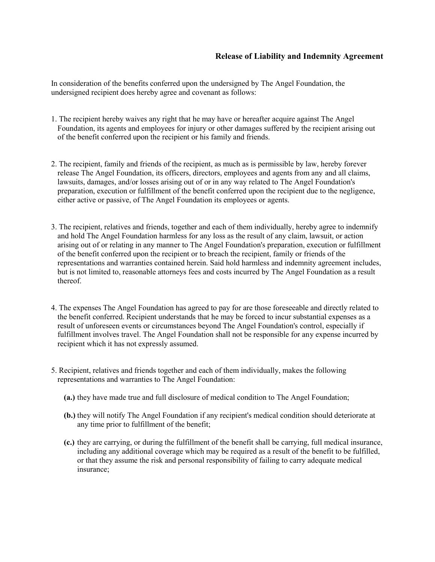### **Release of Liability and Indemnity Agreement**

In consideration of the benefits conferred upon the undersigned by The Angel Foundation, the undersigned recipient does hereby agree and covenant as follows:

- 1. The recipient hereby waives any right that he may have or hereafter acquire against The Angel Foundation, its agents and employees for injury or other damages suffered by the recipient arising out of the benefit conferred upon the recipient or his family and friends.
- 2. The recipient, family and friends of the recipient, as much as is permissible by law, hereby forever release The Angel Foundation, its officers, directors, employees and agents from any and all claims, lawsuits, damages, and/or losses arising out of or in any way related to The Angel Foundation's preparation, execution or fulfillment of the benefit conferred upon the recipient due to the negligence, either active or passive, of The Angel Foundation its employees or agents.
- 3. The recipient, relatives and friends, together and each of them individually, hereby agree to indemnify and hold The Angel Foundation harmless for any loss as the result of any claim, lawsuit, or action arising out of or relating in any manner to The Angel Foundation's preparation, execution or fulfillment of the benefit conferred upon the recipient or to breach the recipient, family or friends of the representations and warranties contained herein. Said hold harmless and indemnity agreement includes, but is not limited to, reasonable attorneys fees and costs incurred by The Angel Foundation as a result thereof.
- 4. The expenses The Angel Foundation has agreed to pay for are those foreseeable and directly related to the benefit conferred. Recipient understands that he may be forced to incur substantial expenses as a result of unforeseen events or circumstances beyond The Angel Foundation's control, especially if fulfillment involves travel. The Angel Foundation shall not be responsible for any expense incurred by recipient which it has not expressly assumed.
- 5. Recipient, relatives and friends together and each of them individually, makes the following representations and warranties to The Angel Foundation:
	- **(a.)** they have made true and full disclosure of medical condition to The Angel Foundation;
	- **(b.)** they will notify The Angel Foundation if any recipient's medical condition should deteriorate at any time prior to fulfillment of the benefit;
	- **(c.)** they are carrying, or during the fulfillment of the benefit shall be carrying, full medical insurance, including any additional coverage which may be required as a result of the benefit to be fulfilled, or that they assume the risk and personal responsibility of failing to carry adequate medical insurance;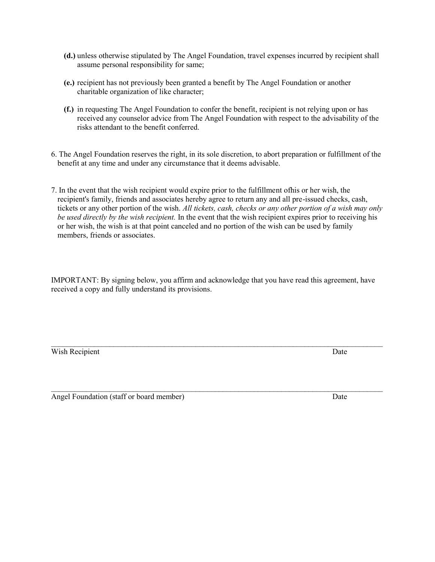- **(d.)** unless otherwise stipulated by The Angel Foundation, travel expenses incurred by recipient shall assume personal responsibility for same;
- **(e.)** recipient has not previously been granted a benefit by The Angel Foundation or another charitable organization of like character;
- **(f.)** in requesting The Angel Foundation to confer the benefit, recipient is not relying upon or has received any counselor advice from The Angel Foundation with respect to the advisability of the risks attendant to the benefit conferred.
- 6. The Angel Foundation reserves the right, in its sole discretion, to abort preparation or fulfillment of the benefit at any time and under any circumstance that it deems advisable.
- 7. In the event that the wish recipient would expire prior to the fulfillment ofhis or her wish, the recipient's family, friends and associates hereby agree to return any and all pre-issued checks, cash, tickets or any other portion of the wish. *All tickets, cash, checks or any other portion of a wish may only be used directly by the wish recipient.* In the event that the wish recipient expires prior to receiving his or her wish, the wish is at that point canceled and no portion of the wish can be used by family members, friends or associates.

IMPORTANT: By signing below, you affirm and acknowledge that you have read this agreement, have received a copy and fully understand its provisions.

 $\mathcal{L}_\text{max} = \mathcal{L}_\text{max} = \mathcal{L}_\text{max} = \mathcal{L}_\text{max} = \mathcal{L}_\text{max} = \mathcal{L}_\text{max} = \mathcal{L}_\text{max} = \mathcal{L}_\text{max} = \mathcal{L}_\text{max} = \mathcal{L}_\text{max} = \mathcal{L}_\text{max} = \mathcal{L}_\text{max} = \mathcal{L}_\text{max} = \mathcal{L}_\text{max} = \mathcal{L}_\text{max} = \mathcal{L}_\text{max} = \mathcal{L}_\text{max} = \mathcal{L}_\text{max} = \mathcal{$ Wish Recipient Date **Date** 

\_\_\_\_\_\_\_\_\_\_\_\_\_\_\_\_\_\_\_\_\_\_\_\_\_\_\_\_\_\_\_\_\_\_\_\_\_\_\_\_\_\_\_\_\_\_\_\_\_\_\_\_\_\_\_\_\_\_\_\_\_\_\_\_\_\_\_\_\_\_\_\_\_\_\_\_\_\_\_\_\_\_\_\_\_ Angel Foundation (staff or board member) Date